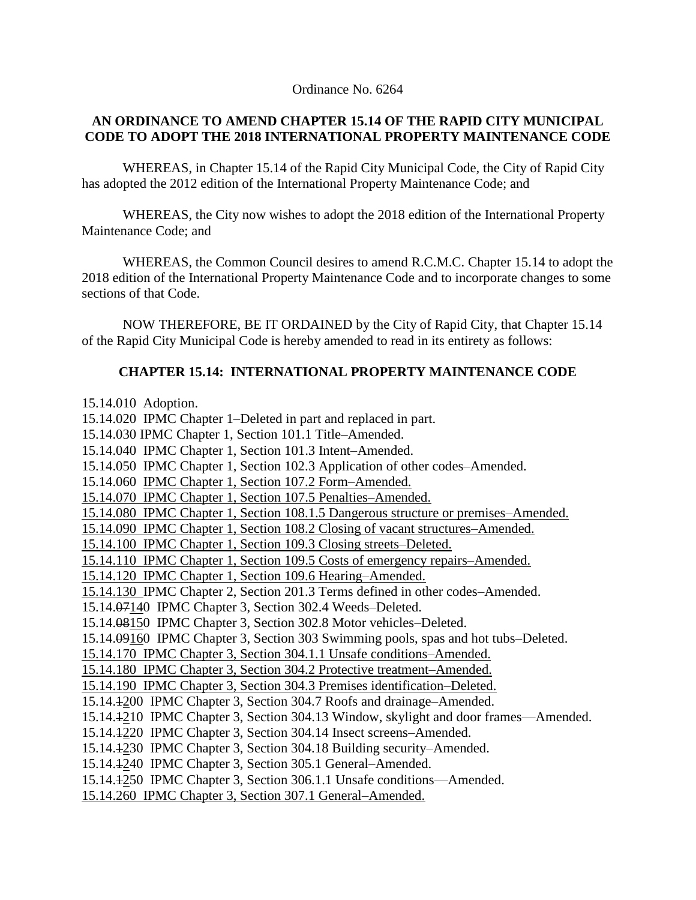Ordinance No. 6264

#### **AN ORDINANCE TO AMEND CHAPTER 15.14 OF THE RAPID CITY MUNICIPAL CODE TO ADOPT THE 2018 INTERNATIONAL PROPERTY MAINTENANCE CODE**

WHEREAS, in Chapter 15.14 of the Rapid City Municipal Code, the City of Rapid City has adopted the 2012 edition of the International Property Maintenance Code; and

WHEREAS, the City now wishes to adopt the 2018 edition of the International Property Maintenance Code; and

WHEREAS, the Common Council desires to amend R.C.M.C. Chapter 15.14 to adopt the 2018 edition of the International Property Maintenance Code and to incorporate changes to some sections of that Code.

NOW THEREFORE, BE IT ORDAINED by the City of Rapid City, that Chapter 15.14 of the Rapid City Municipal Code is hereby amended to read in its entirety as follows:

### **CHAPTER 15.14: INTERNATIONAL PROPERTY MAINTENANCE CODE**

15.14.010 Adoption. 15.14.020 IPMC Chapter 1–Deleted in part and replaced in part. 15.14.030 IPMC Chapter 1, Section 101.1 Title–Amended. 15.14.040 IPMC Chapter 1, Section 101.3 Intent–Amended. 15.14.050 IPMC Chapter 1, Section 102.3 Application of other codes–Amended. 15.14.060 IPMC Chapter 1, Section 107.2 Form–Amended. 15.14.070 IPMC Chapter 1, Section 107.5 Penalties–Amended. 15.14.080 IPMC Chapter 1, Section 108.1.5 Dangerous structure or premises–Amended. 15.14.090 IPMC Chapter 1, Section 108.2 Closing of vacant structures–Amended. 15.14.100 IPMC Chapter 1, Section 109.3 Closing streets–Deleted. 15.14.110 IPMC Chapter 1, Section 109.5 Costs of emergency repairs–Amended. 15.14.120 IPMC Chapter 1, Section 109.6 Hearing–Amended. 15.14.130 IPMC Chapter 2, Section 201.3 Terms defined in other codes–Amended. 15.14.07140 IPMC Chapter 3, Section 302.4 Weeds–Deleted. 15.14.08150 IPMC Chapter 3, Section 302.8 Motor vehicles–Deleted. 15.14.09160 IPMC Chapter 3, Section 303 Swimming pools, spas and hot tubs–Deleted. 15.14.170 IPMC Chapter 3, Section 304.1.1 Unsafe conditions–Amended. 15.14.180 IPMC Chapter 3, Section 304.2 Protective treatment–Amended. 15.14.190 IPMC Chapter 3, Section 304.3 Premises identification–Deleted. 15.14.1200 IPMC Chapter 3, Section 304.7 Roofs and drainage–Amended. 15.14.1210 IPMC Chapter 3, Section 304.13 Window, skylight and door frames—Amended. 15.14.1220 IPMC Chapter 3, Section 304.14 Insect screens–Amended. 15.14.1230 IPMC Chapter 3, Section 304.18 Building security–Amended. 15.14.1240 IPMC Chapter 3, Section 305.1 General–Amended. 15.14.1250 IPMC Chapter 3, Section 306.1.1 Unsafe conditions—Amended. 15.14.260 IPMC Chapter 3, Section 307.1 General–Amended.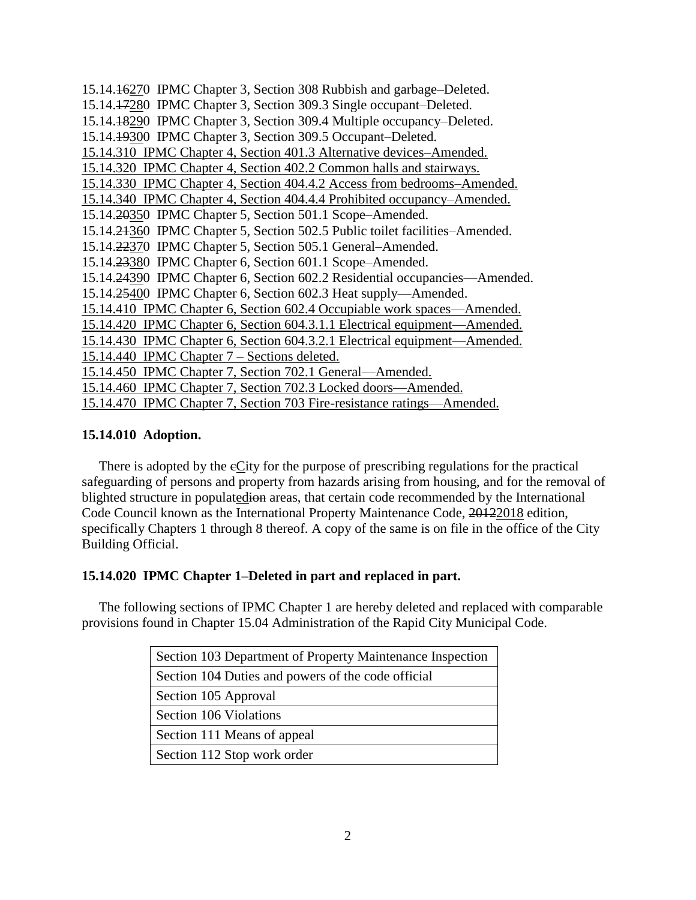15.14.16270 IPMC Chapter 3, Section 308 Rubbish and garbage–Deleted. 15.14.17280 IPMC Chapter 3, Section 309.3 Single occupant–Deleted. 15.14.18290 IPMC Chapter 3, Section 309.4 Multiple occupancy–Deleted. 15.14.19300 IPMC Chapter 3, Section 309.5 Occupant–Deleted. 15.14.310 IPMC Chapter 4, Section 401.3 Alternative devices–Amended. 15.14.320 IPMC Chapter 4, Section 402.2 Common halls and stairways. 15.14.330 IPMC Chapter 4, Section 404.4.2 Access from bedrooms–Amended. 15.14.340 IPMC Chapter 4, Section 404.4.4 Prohibited occupancy–Amended. 15.14.20350 IPMC Chapter 5, Section 501.1 Scope–Amended. 15.14.21360 IPMC Chapter 5, Section 502.5 Public toilet facilities–Amended. 15.14.22370 IPMC Chapter 5, Section 505.1 General–Amended. 15.14.23380 IPMC Chapter 6, Section 601.1 Scope–Amended. 15.14.24390 IPMC Chapter 6, Section 602.2 Residential occupancies—Amended. 15.14.25400 IPMC Chapter 6, Section 602.3 Heat supply—Amended. 15.14.410 IPMC Chapter 6, Section 602.4 Occupiable work spaces—Amended. 15.14.420 IPMC Chapter 6, Section 604.3.1.1 Electrical equipment—Amended. 15.14.430 IPMC Chapter 6, Section 604.3.2.1 Electrical equipment—Amended. 15.14.440 IPMC Chapter 7 – Sections deleted. 15.14.450 IPMC Chapter 7, Section 702.1 General—Amended. 15.14.460 IPMC Chapter 7, Section 702.3 Locked doors—Amended. 15.14.470 IPMC Chapter 7, Section 703 Fire-resistance ratings—Amended.

#### **15.14.010 Adoption.**

There is adopted by the  $\epsilon$ City for the purpose of prescribing regulations for the practical safeguarding of persons and property from hazards arising from housing, and for the removal of blighted structure in populatedion areas, that certain code recommended by the International Code Council known as the International Property Maintenance Code, 20122018 edition, specifically Chapters 1 through 8 thereof. A copy of the same is on file in the office of the City Building Official.

#### **15.14.020 IPMC Chapter 1–Deleted in part and replaced in part.**

 The following sections of IPMC Chapter 1 are hereby deleted and replaced with comparable provisions found in Chapter 15.04 Administration of the Rapid City Municipal Code.

| Section 103 Department of Property Maintenance Inspection |
|-----------------------------------------------------------|
| Section 104 Duties and powers of the code official        |
| Section 105 Approval                                      |
| Section 106 Violations                                    |
| Section 111 Means of appeal                               |
| Section 112 Stop work order                               |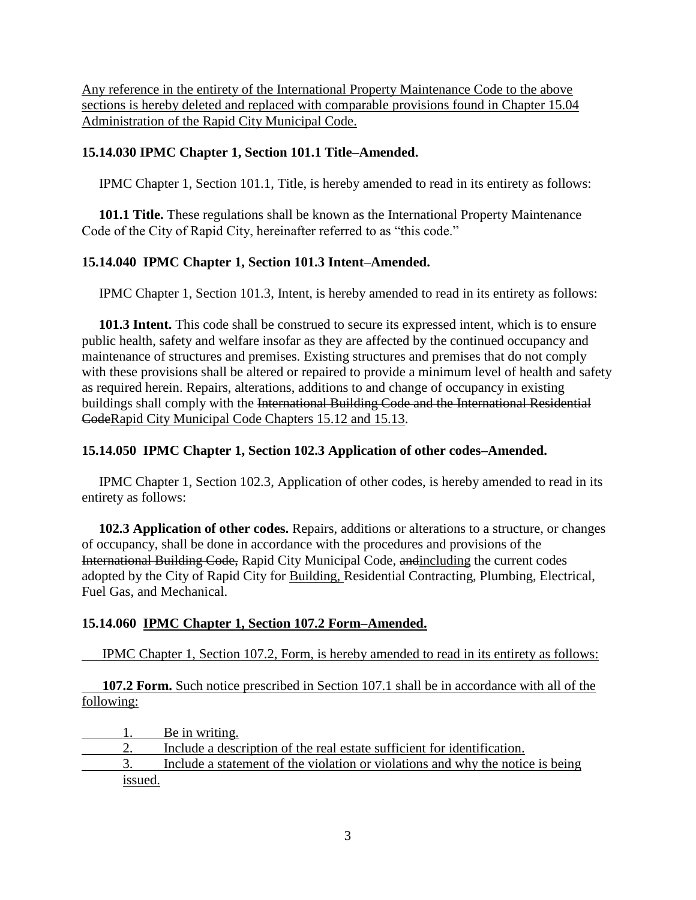Any reference in the entirety of the International Property Maintenance Code to the above sections is hereby deleted and replaced with comparable provisions found in Chapter 15.04 Administration of the Rapid City Municipal Code.

### **15.14.030 IPMC Chapter 1, Section 101.1 Title–Amended.**

IPMC Chapter 1, Section 101.1, Title, is hereby amended to read in its entirety as follows:

 **101.1 Title.** These regulations shall be known as the International Property Maintenance Code of the City of Rapid City, hereinafter referred to as "this code."

# **15.14.040 IPMC Chapter 1, Section 101.3 Intent–Amended.**

IPMC Chapter 1, Section 101.3, Intent, is hereby amended to read in its entirety as follows:

 **101.3 Intent.** This code shall be construed to secure its expressed intent, which is to ensure public health, safety and welfare insofar as they are affected by the continued occupancy and maintenance of structures and premises. Existing structures and premises that do not comply with these provisions shall be altered or repaired to provide a minimum level of health and safety as required herein. Repairs, alterations, additions to and change of occupancy in existing buildings shall comply with the International Building Code and the International Residential CodeRapid City Municipal Code Chapters 15.12 and 15.13.

## **15.14.050 IPMC Chapter 1, Section 102.3 Application of other codes–Amended.**

 IPMC Chapter 1, Section 102.3, Application of other codes, is hereby amended to read in its entirety as follows:

 **102.3 Application of other codes.** Repairs, additions or alterations to a structure, or changes of occupancy, shall be done in accordance with the procedures and provisions of the International Building Code, Rapid City Municipal Code, andincluding the current codes adopted by the City of Rapid City for Building, Residential Contracting, Plumbing, Electrical, Fuel Gas, and Mechanical.

# **15.14.060 IPMC Chapter 1, Section 107.2 Form–Amended.**

IPMC Chapter 1, Section 107.2, Form, is hereby amended to read in its entirety as follows:

**107.2 Form.** Such notice prescribed in Section 107.1 shall be in accordance with all of the following:

1. Be in writing. 2. Include a description of the real estate sufficient for identification. 3. Include a statement of the violation or violations and why the notice is being issued.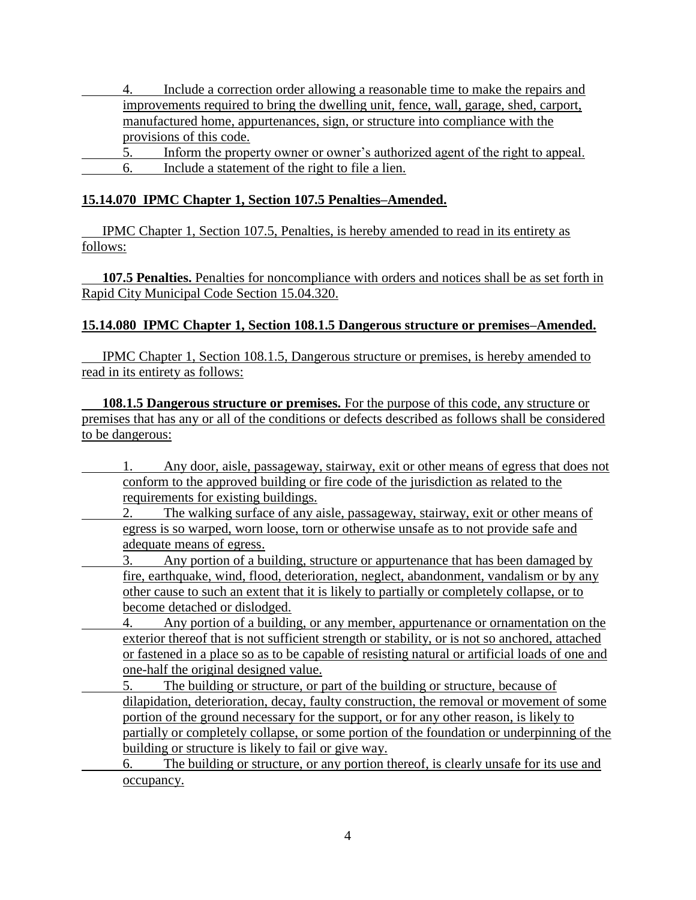4. Include a correction order allowing a reasonable time to make the repairs and improvements required to bring the dwelling unit, fence, wall, garage, shed, carport, manufactured home, appurtenances, sign, or structure into compliance with the provisions of this code.

5. Inform the property owner or owner's authorized agent of the right to appeal. 6. Include a statement of the right to file a lien.

### **15.14.070 IPMC Chapter 1, Section 107.5 Penalties–Amended.**

IPMC Chapter 1, Section 107.5, Penalties, is hereby amended to read in its entirety as follows:

**107.5 Penalties.** Penalties for noncompliance with orders and notices shall be as set forth in Rapid City Municipal Code Section 15.04.320.

## **15.14.080 IPMC Chapter 1, Section 108.1.5 Dangerous structure or premises–Amended.**

IPMC Chapter 1, Section 108.1.5, Dangerous structure or premises, is hereby amended to read in its entirety as follows:

**108.1.5 Dangerous structure or premises.** For the purpose of this code, any structure or premises that has any or all of the conditions or defects described as follows shall be considered to be dangerous:

- 1. Any door, aisle, passageway, stairway, exit or other means of egress that does not conform to the approved building or fire code of the jurisdiction as related to the requirements for existing buildings.
	- The walking surface of any aisle, passageway, stairway, exit or other means of egress is so warped, worn loose, torn or otherwise unsafe as to not provide safe and adequate means of egress.
- 3. Any portion of a building, structure or appurtenance that has been damaged by fire, earthquake, wind, flood, deterioration, neglect, abandonment, vandalism or by any other cause to such an extent that it is likely to partially or completely collapse, or to become detached or dislodged.
	- 4. Any portion of a building, or any member, appurtenance or ornamentation on the exterior thereof that is not sufficient strength or stability, or is not so anchored, attached or fastened in a place so as to be capable of resisting natural or artificial loads of one and one-half the original designed value.
		- 5. The building or structure, or part of the building or structure, because of dilapidation, deterioration, decay, faulty construction, the removal or movement of some portion of the ground necessary for the support, or for any other reason, is likely to partially or completely collapse, or some portion of the foundation or underpinning of the building or structure is likely to fail or give way.
	- 6. The building or structure, or any portion thereof, is clearly unsafe for its use and occupancy.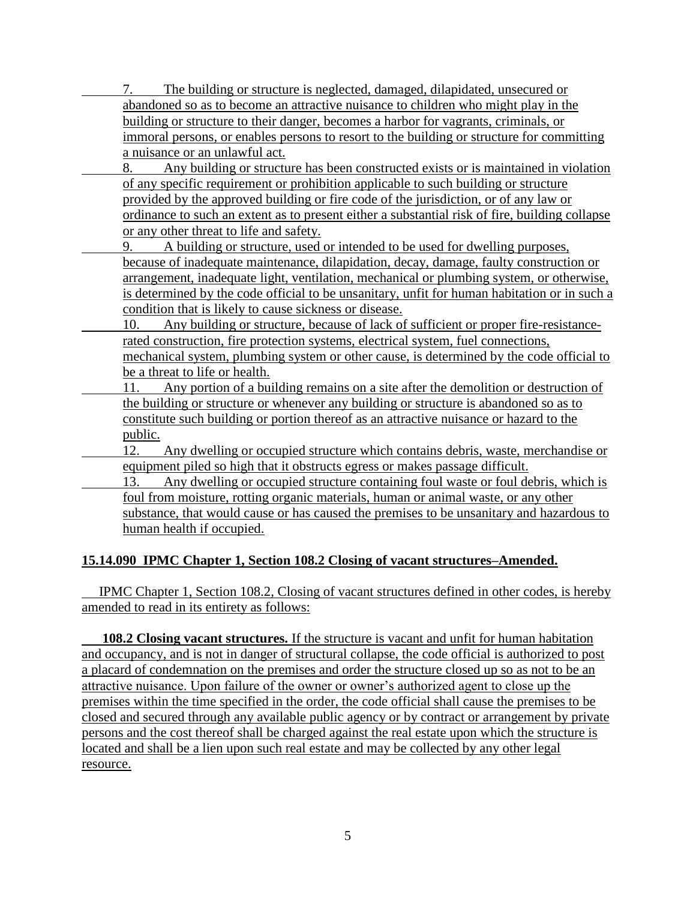7. The building or structure is neglected, damaged, dilapidated, unsecured or abandoned so as to become an attractive nuisance to children who might play in the building or structure to their danger, becomes a harbor for vagrants, criminals, or immoral persons, or enables persons to resort to the building or structure for committing a nuisance or an unlawful act.

- 8. Any building or structure has been constructed exists or is maintained in violation of any specific requirement or prohibition applicable to such building or structure provided by the approved building or fire code of the jurisdiction, or of any law or ordinance to such an extent as to present either a substantial risk of fire, building collapse or any other threat to life and safety.
	- 9. A building or structure, used or intended to be used for dwelling purposes, because of inadequate maintenance, dilapidation, decay, damage, faulty construction or arrangement, inadequate light, ventilation, mechanical or plumbing system, or otherwise, is determined by the code official to be unsanitary, unfit for human habitation or in such a condition that is likely to cause sickness or disease.
- 10. Any building or structure, because of lack of sufficient or proper fire-resistancerated construction, fire protection systems, electrical system, fuel connections, mechanical system, plumbing system or other cause, is determined by the code official to be a threat to life or health.
	- 11. Any portion of a building remains on a site after the demolition or destruction of the building or structure or whenever any building or structure is abandoned so as to constitute such building or portion thereof as an attractive nuisance or hazard to the public.
- 12. Any dwelling or occupied structure which contains debris, waste, merchandise or equipment piled so high that it obstructs egress or makes passage difficult.
- 13. Any dwelling or occupied structure containing foul waste or foul debris, which is foul from moisture, rotting organic materials, human or animal waste, or any other substance, that would cause or has caused the premises to be unsanitary and hazardous to human health if occupied.

# **15.14.090 IPMC Chapter 1, Section 108.2 Closing of vacant structures–Amended.**

 IPMC Chapter 1, Section 108.2, Closing of vacant structures defined in other codes, is hereby amended to read in its entirety as follows:

**108.2 Closing vacant structures.** If the structure is vacant and unfit for human habitation and occupancy, and is not in danger of structural collapse, the code official is authorized to post a placard of condemnation on the premises and order the structure closed up so as not to be an attractive nuisance. Upon failure of the owner or owner's authorized agent to close up the premises within the time specified in the order, the code official shall cause the premises to be closed and secured through any available public agency or by contract or arrangement by private persons and the cost thereof shall be charged against the real estate upon which the structure is located and shall be a lien upon such real estate and may be collected by any other legal resource.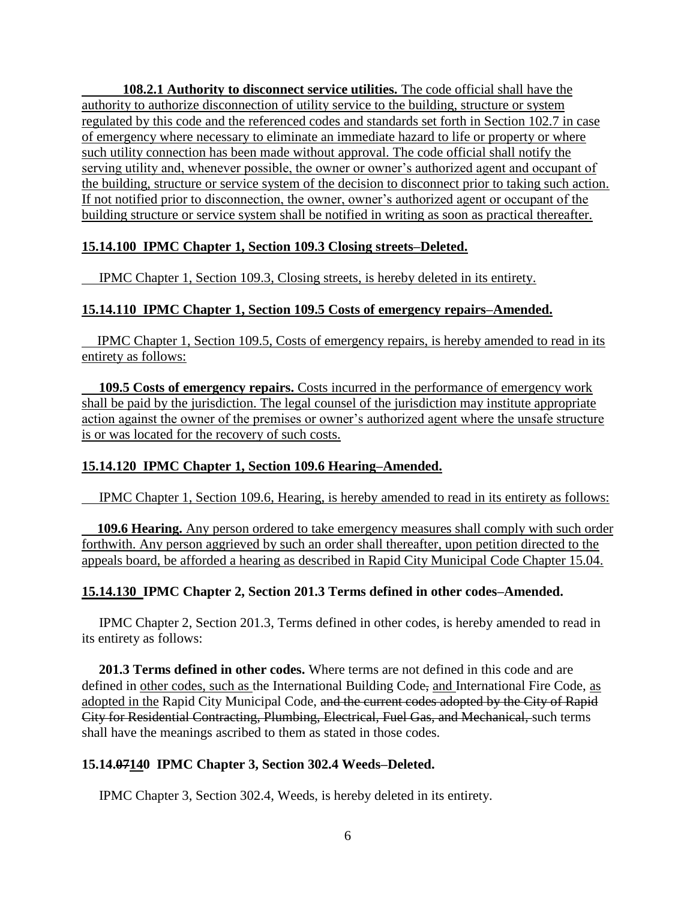**108.2.1 Authority to disconnect service utilities.** The code official shall have the authority to authorize disconnection of utility service to the building, structure or system regulated by this code and the referenced codes and standards set forth in Section 102.7 in case of emergency where necessary to eliminate an immediate hazard to life or property or where such utility connection has been made without approval. The code official shall notify the serving utility and, whenever possible, the owner or owner's authorized agent and occupant of the building, structure or service system of the decision to disconnect prior to taking such action. If not notified prior to disconnection, the owner, owner's authorized agent or occupant of the building structure or service system shall be notified in writing as soon as practical thereafter.

#### **15.14.100 IPMC Chapter 1, Section 109.3 Closing streets–Deleted.**

IPMC Chapter 1, Section 109.3, Closing streets, is hereby deleted in its entirety.

#### **15.14.110 IPMC Chapter 1, Section 109.5 Costs of emergency repairs–Amended.**

IPMC Chapter 1, Section 109.5, Costs of emergency repairs, is hereby amended to read in its entirety as follows:

 **109.5 Costs of emergency repairs.** Costs incurred in the performance of emergency work shall be paid by the jurisdiction. The legal counsel of the jurisdiction may institute appropriate action against the owner of the premises or owner's authorized agent where the unsafe structure is or was located for the recovery of such costs.

### **15.14.120 IPMC Chapter 1, Section 109.6 Hearing–Amended.**

IPMC Chapter 1, Section 109.6, Hearing, is hereby amended to read in its entirety as follows:

**109.6 Hearing.** Any person ordered to take emergency measures shall comply with such order forthwith. Any person aggrieved by such an order shall thereafter, upon petition directed to the appeals board, be afforded a hearing as described in Rapid City Municipal Code Chapter 15.04.

#### **15.14.130 IPMC Chapter 2, Section 201.3 Terms defined in other codes–Amended.**

 IPMC Chapter 2, Section 201.3, Terms defined in other codes, is hereby amended to read in its entirety as follows:

 **201.3 Terms defined in other codes.** Where terms are not defined in this code and are defined in other codes, such as the International Building Code, and International Fire Code, as adopted in the Rapid City Municipal Code, and the current codes adopted by the City of Rapid City for Residential Contracting, Plumbing, Electrical, Fuel Gas, and Mechanical, such terms shall have the meanings ascribed to them as stated in those codes.

#### **15.14.07140 IPMC Chapter 3, Section 302.4 Weeds–Deleted.**

IPMC Chapter 3, Section 302.4, Weeds, is hereby deleted in its entirety.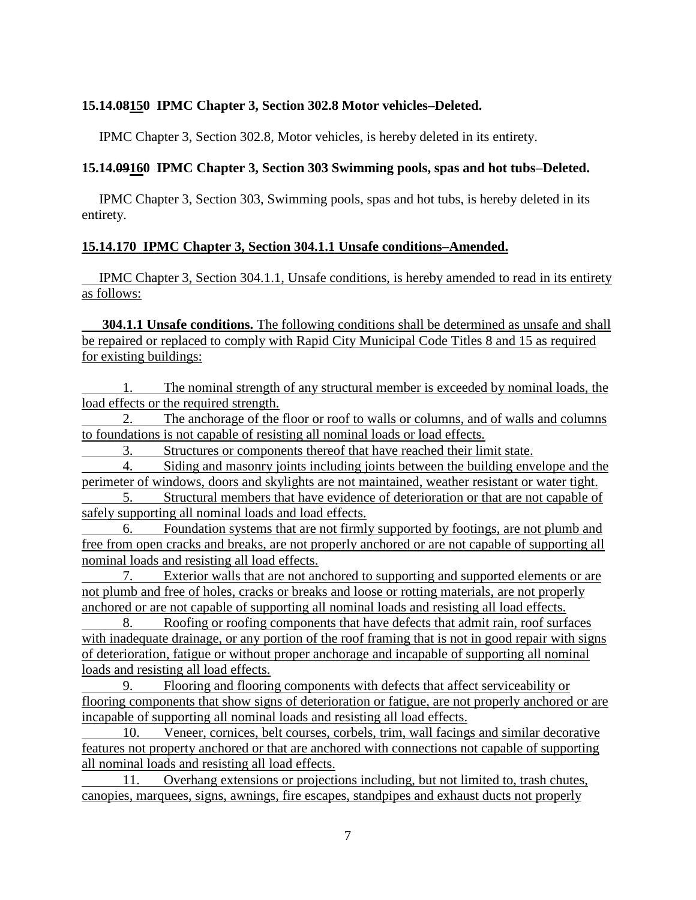#### **15.14.08150 IPMC Chapter 3, Section 302.8 Motor vehicles–Deleted.**

IPMC Chapter 3, Section 302.8, Motor vehicles, is hereby deleted in its entirety.

#### **15.14.09160 IPMC Chapter 3, Section 303 Swimming pools, spas and hot tubs–Deleted.**

 IPMC Chapter 3, Section 303, Swimming pools, spas and hot tubs, is hereby deleted in its entirety.

#### **15.14.170 IPMC Chapter 3, Section 304.1.1 Unsafe conditions–Amended.**

 IPMC Chapter 3, Section 304.1.1, Unsafe conditions, is hereby amended to read in its entirety as follows:

**304.1.1 Unsafe conditions.** The following conditions shall be determined as unsafe and shall be repaired or replaced to comply with Rapid City Municipal Code Titles 8 and 15 as required for existing buildings:

1. The nominal strength of any structural member is exceeded by nominal loads, the load effects or the required strength.

2. The anchorage of the floor or roof to walls or columns, and of walls and columns to foundations is not capable of resisting all nominal loads or load effects.

3. Structures or components thereof that have reached their limit state.

4. Siding and masonry joints including joints between the building envelope and the perimeter of windows, doors and skylights are not maintained, weather resistant or water tight.

Structural members that have evidence of deterioration or that are not capable of safely supporting all nominal loads and load effects.

6. Foundation systems that are not firmly supported by footings, are not plumb and free from open cracks and breaks, are not properly anchored or are not capable of supporting all nominal loads and resisting all load effects.

7. Exterior walls that are not anchored to supporting and supported elements or are not plumb and free of holes, cracks or breaks and loose or rotting materials, are not properly anchored or are not capable of supporting all nominal loads and resisting all load effects.

8. Roofing or roofing components that have defects that admit rain, roof surfaces with inadequate drainage, or any portion of the roof framing that is not in good repair with signs of deterioration, fatigue or without proper anchorage and incapable of supporting all nominal loads and resisting all load effects.

9. Flooring and flooring components with defects that affect serviceability or flooring components that show signs of deterioration or fatigue, are not properly anchored or are incapable of supporting all nominal loads and resisting all load effects.

10. Veneer, cornices, belt courses, corbels, trim, wall facings and similar decorative features not property anchored or that are anchored with connections not capable of supporting all nominal loads and resisting all load effects.

11. Overhang extensions or projections including, but not limited to, trash chutes, canopies, marquees, signs, awnings, fire escapes, standpipes and exhaust ducts not properly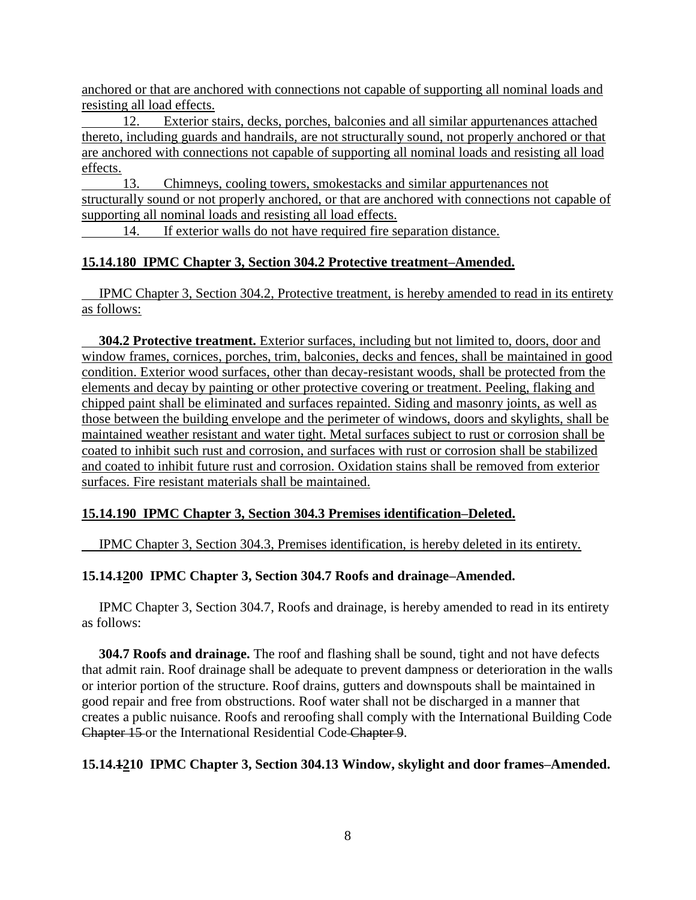anchored or that are anchored with connections not capable of supporting all nominal loads and resisting all load effects.

12. Exterior stairs, decks, porches, balconies and all similar appurtenances attached thereto, including guards and handrails, are not structurally sound, not properly anchored or that are anchored with connections not capable of supporting all nominal loads and resisting all load effects.

13. Chimneys, cooling towers, smokestacks and similar appurtenances not structurally sound or not properly anchored, or that are anchored with connections not capable of supporting all nominal loads and resisting all load effects.

14. If exterior walls do not have required fire separation distance.

### **15.14.180 IPMC Chapter 3, Section 304.2 Protective treatment–Amended.**

 IPMC Chapter 3, Section 304.2, Protective treatment, is hereby amended to read in its entirety as follows:

 **304.2 Protective treatment.** Exterior surfaces, including but not limited to, doors, door and window frames, cornices, porches, trim, balconies, decks and fences, shall be maintained in good condition. Exterior wood surfaces, other than decay-resistant woods, shall be protected from the elements and decay by painting or other protective covering or treatment. Peeling, flaking and chipped paint shall be eliminated and surfaces repainted. Siding and masonry joints, as well as those between the building envelope and the perimeter of windows, doors and skylights, shall be maintained weather resistant and water tight. Metal surfaces subject to rust or corrosion shall be coated to inhibit such rust and corrosion, and surfaces with rust or corrosion shall be stabilized and coated to inhibit future rust and corrosion. Oxidation stains shall be removed from exterior surfaces. Fire resistant materials shall be maintained.

### **15.14.190 IPMC Chapter 3, Section 304.3 Premises identification–Deleted.**

**IPMC Chapter 3, Section 304.3, Premises identification, is hereby deleted in its entirety.** 

### **15.14.1200 IPMC Chapter 3, Section 304.7 Roofs and drainage–Amended.**

 IPMC Chapter 3, Section 304.7, Roofs and drainage, is hereby amended to read in its entirety as follows:

 **304.7 Roofs and drainage.** The roof and flashing shall be sound, tight and not have defects that admit rain. Roof drainage shall be adequate to prevent dampness or deterioration in the walls or interior portion of the structure. Roof drains, gutters and downspouts shall be maintained in good repair and free from obstructions. Roof water shall not be discharged in a manner that creates a public nuisance. Roofs and reroofing shall comply with the International Building Code Chapter 15 or the International Residential Code Chapter 9.

### **15.14.1210 IPMC Chapter 3, Section 304.13 Window, skylight and door frames–Amended.**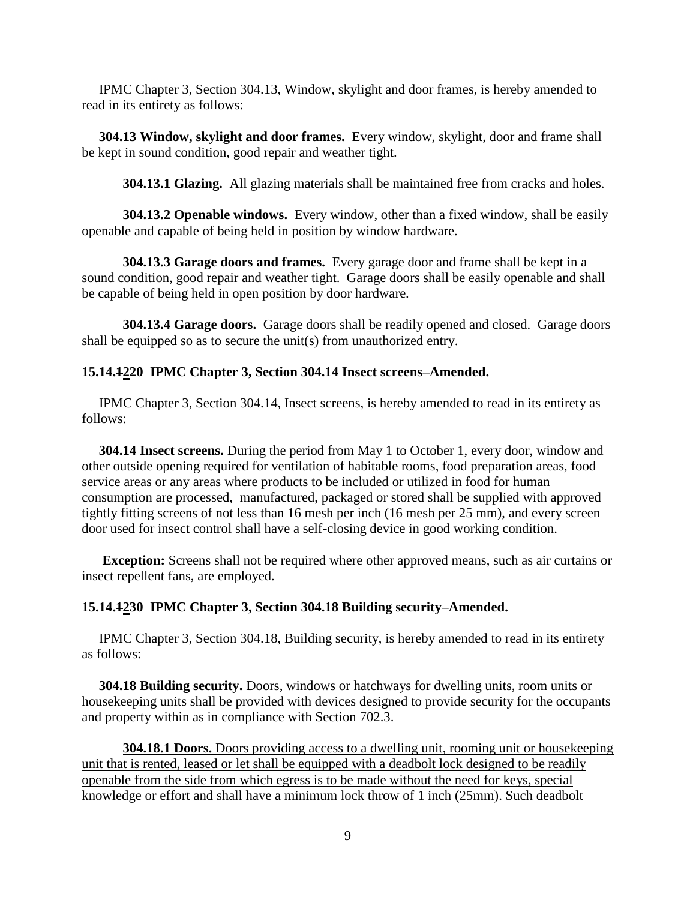**IPMC Chapter 3, Section 304.13, Window, skylight and door frames, is hereby amended to** read in its entirety as follows:

 **304.13 Window, skylight and door frames.** Every window, skylight, door and frame shall be kept in sound condition, good repair and weather tight.

**304.13.1 Glazing.** All glazing materials shall be maintained free from cracks and holes.

**304.13.2 Openable windows.** Every window, other than a fixed window, shall be easily openable and capable of being held in position by window hardware.

**304.13.3 Garage doors and frames.** Every garage door and frame shall be kept in a sound condition, good repair and weather tight. Garage doors shall be easily openable and shall be capable of being held in open position by door hardware.

**304.13.4 Garage doors.** Garage doors shall be readily opened and closed. Garage doors shall be equipped so as to secure the unit(s) from unauthorized entry.

#### **15.14.1220 IPMC Chapter 3, Section 304.14 Insect screens–Amended.**

 IPMC Chapter 3, Section 304.14, Insect screens, is hereby amended to read in its entirety as follows:

 **304.14 Insect screens.** During the period from May 1 to October 1, every door, window and other outside opening required for ventilation of habitable rooms, food preparation areas, food service areas or any areas where products to be included or utilized in food for human consumption are processed, manufactured, packaged or stored shall be supplied with approved tightly fitting screens of not less than 16 mesh per inch (16 mesh per 25 mm), and every screen door used for insect control shall have a self-closing device in good working condition.

 **Exception:** Screens shall not be required where other approved means, such as air curtains or insect repellent fans, are employed.

#### **15.14.1230 IPMC Chapter 3, Section 304.18 Building security–Amended.**

 IPMC Chapter 3, Section 304.18, Building security, is hereby amended to read in its entirety as follows:

 **304.18 Building security.** Doors, windows or hatchways for dwelling units, room units or housekeeping units shall be provided with devices designed to provide security for the occupants and property within as in compliance with Section 702.3.

**304.18.1 Doors.** Doors providing access to a dwelling unit, rooming unit or housekeeping unit that is rented, leased or let shall be equipped with a deadbolt lock designed to be readily openable from the side from which egress is to be made without the need for keys, special knowledge or effort and shall have a minimum lock throw of 1 inch (25mm). Such deadbolt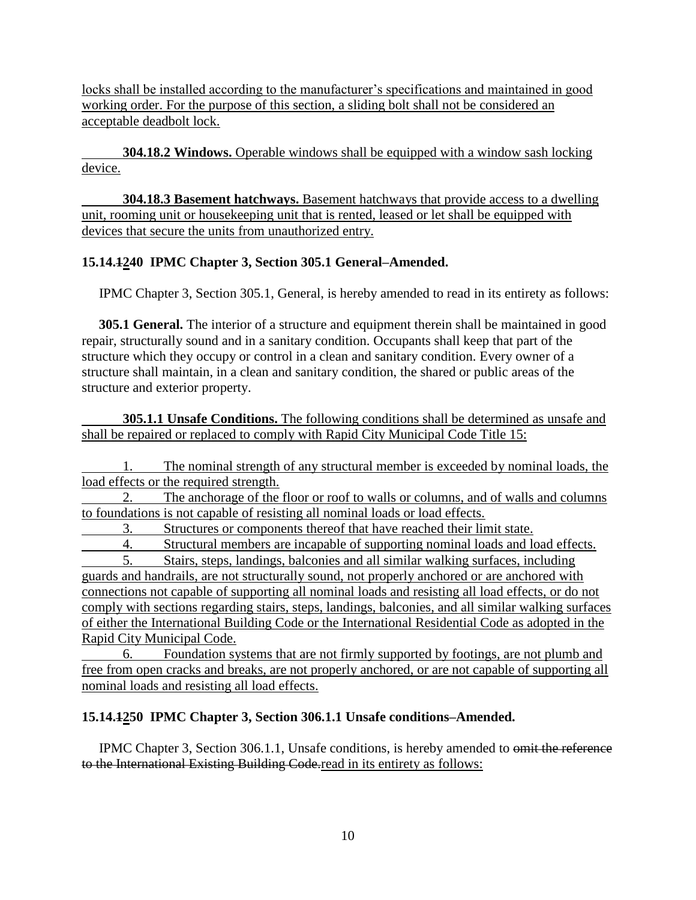locks shall be installed according to the manufacturer's specifications and maintained in good working order. For the purpose of this section, a sliding bolt shall not be considered an acceptable deadbolt lock.

**304.18.2 Windows.** Operable windows shall be equipped with a window sash locking device.

**304.18.3 Basement hatchways.** Basement hatchways that provide access to a dwelling unit, rooming unit or housekeeping unit that is rented, leased or let shall be equipped with devices that secure the units from unauthorized entry.

# **15.14.1240 IPMC Chapter 3, Section 305.1 General–Amended.**

IPMC Chapter 3, Section 305.1, General, is hereby amended to read in its entirety as follows:

 **305.1 General.** The interior of a structure and equipment therein shall be maintained in good repair, structurally sound and in a sanitary condition. Occupants shall keep that part of the structure which they occupy or control in a clean and sanitary condition. Every owner of a structure shall maintain, in a clean and sanitary condition, the shared or public areas of the structure and exterior property.

**305.1.1 Unsafe Conditions.** The following conditions shall be determined as unsafe and shall be repaired or replaced to comply with Rapid City Municipal Code Title 15:

1. The nominal strength of any structural member is exceeded by nominal loads, the load effects or the required strength.

The anchorage of the floor or roof to walls or columns, and of walls and columns to foundations is not capable of resisting all nominal loads or load effects.

3. Structures or components thereof that have reached their limit state.

4. Structural members are incapable of supporting nominal loads and load effects.

5. Stairs, steps, landings, balconies and all similar walking surfaces, including guards and handrails, are not structurally sound, not properly anchored or are anchored with connections not capable of supporting all nominal loads and resisting all load effects, or do not comply with sections regarding stairs, steps, landings, balconies, and all similar walking surfaces of either the International Building Code or the International Residential Code as adopted in the Rapid City Municipal Code.

6. Foundation systems that are not firmly supported by footings, are not plumb and free from open cracks and breaks, are not properly anchored, or are not capable of supporting all nominal loads and resisting all load effects.

# **15.14.1250 IPMC Chapter 3, Section 306.1.1 Unsafe conditions–Amended.**

 IPMC Chapter 3, Section 306.1.1, Unsafe conditions, is hereby amended to omit the reference to the International Existing Building Code.read in its entirety as follows: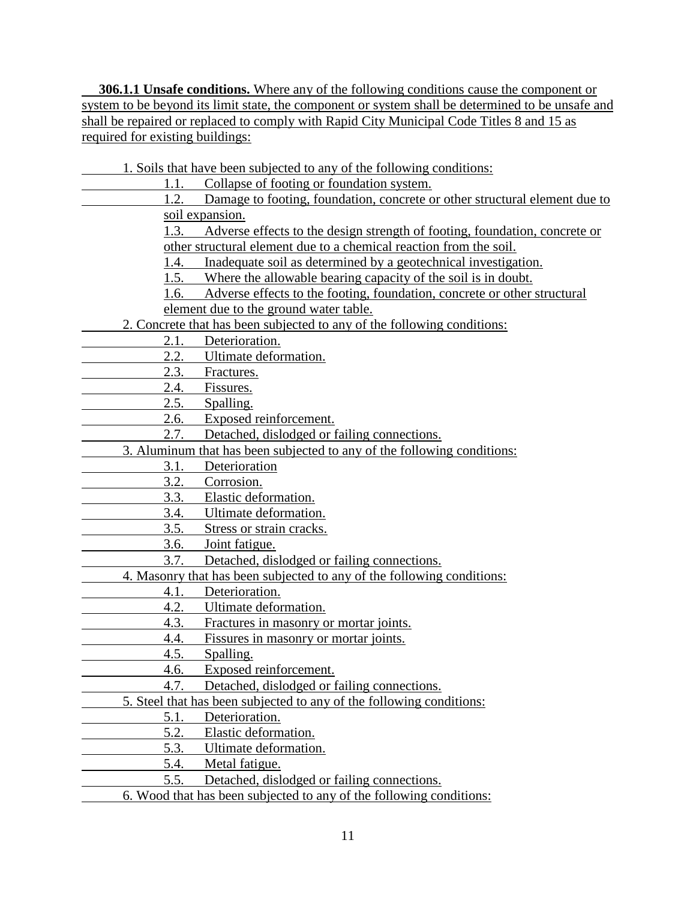**306.1.1 Unsafe conditions.** Where any of the following conditions cause the component or system to be beyond its limit state, the component or system shall be determined to be unsafe and shall be repaired or replaced to comply with Rapid City Municipal Code Titles 8 and 15 as required for existing buildings:

1. Soils that have been subjected to any of the following conditions: 1.1. Collapse of footing or foundation system. 1.2. Damage to footing, foundation, concrete or other structural element due to soil expansion. 1.3. Adverse effects to the design strength of footing, foundation, concrete or other structural element due to a chemical reaction from the soil. 1.4. Inadequate soil as determined by a geotechnical investigation. 1.5. Where the allowable bearing capacity of the soil is in doubt. 1.6. Adverse effects to the footing, foundation, concrete or other structural element due to the ground water table. 2. Concrete that has been subjected to any of the following conditions: 2.1. Deterioration. 2.2. Ultimate deformation. 2.3. Fractures. 2.4. Fissures. 2.5. Spalling. 2.6. Exposed reinforcement. 2.7. Detached, dislodged or failing connections. 3. Aluminum that has been subjected to any of the following conditions: 3.1. Deterioration 3.2. Corrosion. 3.3. Elastic deformation. 3.4. Ultimate deformation. 3.5. Stress or strain cracks. 3.6. Joint fatigue. 3.7. Detached, dislodged or failing connections. 4. Masonry that has been subjected to any of the following conditions: 4.1. Deterioration. 4.2. Ultimate deformation. 4.3. Fractures in masonry or mortar joints. 4.4. Fissures in masonry or mortar joints. 4.5. Spalling. 4.6. Exposed reinforcement. 4.7. Detached, dislodged or failing connections. 5. Steel that has been subjected to any of the following conditions: 5.1. Deterioration. 5.2. Elastic deformation. 5.3. Ultimate deformation. 5.4. Metal fatigue. 5.5. Detached, dislodged or failing connections.

6. Wood that has been subjected to any of the following conditions: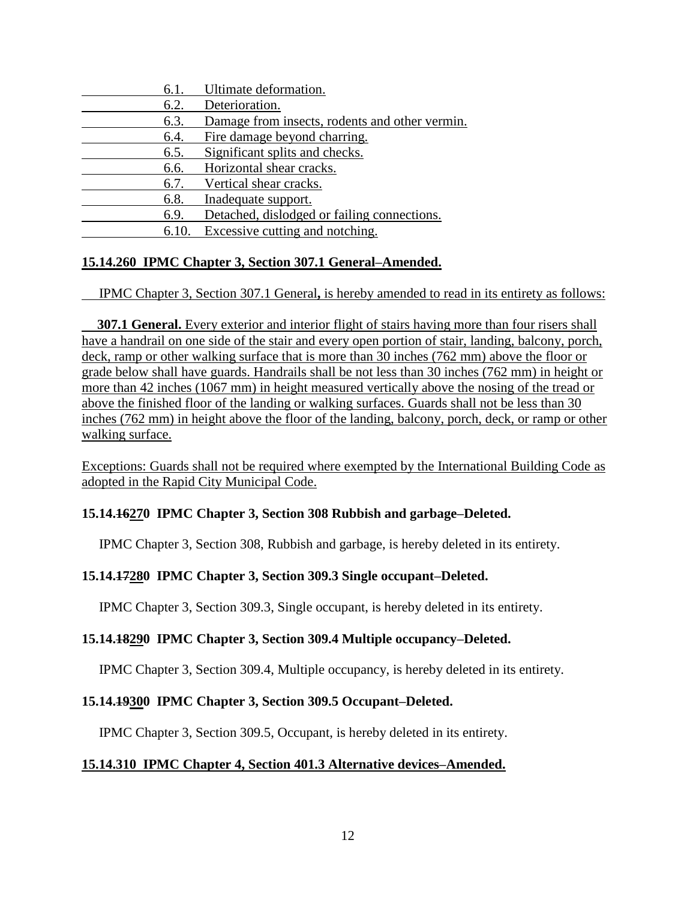| 6.1. | Ultimate deformation.                          |
|------|------------------------------------------------|
| 6.2. | Deterioration.                                 |
| 6.3. | Damage from insects, rodents and other vermin. |
| 6.4. | Fire damage beyond charring.                   |
| 6.5. | Significant splits and checks.                 |
| 6.6. | Horizontal shear cracks.                       |
| 6.7. | Vertical shear cracks.                         |
| 6.8. | Inadequate support.                            |
| 6.9. | Detached, dislodged or failing connections.    |
| 6.10 | Excessive cutting and notching.                |

### **15.14.260 IPMC Chapter 3, Section 307.1 General–Amended.**

IPMC Chapter 3, Section 307.1 General**,** is hereby amended to read in its entirety as follows:

**307.1 General.** Every exterior and interior flight of stairs having more than four risers shall have a handrail on one side of the stair and every open portion of stair, landing, balcony, porch, deck, ramp or other walking surface that is more than 30 inches (762 mm) above the floor or grade below shall have guards. Handrails shall be not less than 30 inches (762 mm) in height or more than 42 inches (1067 mm) in height measured vertically above the nosing of the tread or above the finished floor of the landing or walking surfaces. Guards shall not be less than 30 inches (762 mm) in height above the floor of the landing, balcony, porch, deck, or ramp or other walking surface.

Exceptions: Guards shall not be required where exempted by the International Building Code as adopted in the Rapid City Municipal Code.

### **15.14.16270 IPMC Chapter 3, Section 308 Rubbish and garbage–Deleted.**

IPMC Chapter 3, Section 308, Rubbish and garbage, is hereby deleted in its entirety.

### **15.14.17280 IPMC Chapter 3, Section 309.3 Single occupant–Deleted.**

IPMC Chapter 3, Section 309.3, Single occupant, is hereby deleted in its entirety.

#### **15.14.18290 IPMC Chapter 3, Section 309.4 Multiple occupancy–Deleted.**

IPMC Chapter 3, Section 309.4, Multiple occupancy, is hereby deleted in its entirety.

#### **15.14.19300 IPMC Chapter 3, Section 309.5 Occupant–Deleted.**

IPMC Chapter 3, Section 309.5, Occupant, is hereby deleted in its entirety.

### **15.14.310 IPMC Chapter 4, Section 401.3 Alternative devices–Amended.**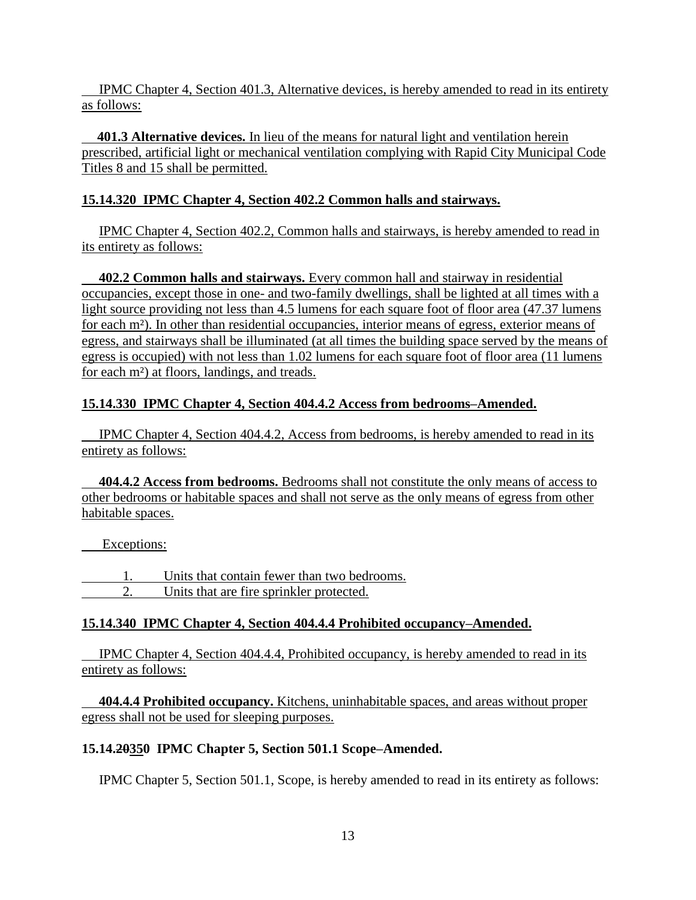IPMC Chapter 4, Section 401.3, Alternative devices, is hereby amended to read in its entirety as follows:

**401.3 Alternative devices.** In lieu of the means for natural light and ventilation herein prescribed, artificial light or mechanical ventilation complying with Rapid City Municipal Code Titles 8 and 15 shall be permitted.

# **15.14.320 IPMC Chapter 4, Section 402.2 Common halls and stairways.**

 IPMC Chapter 4, Section 402.2, Common halls and stairways, is hereby amended to read in its entirety as follows:

 **402.2 Common halls and stairways.** Every common hall and stairway in residential occupancies, except those in one- and two-family dwellings, shall be lighted at all times with a light source providing not less than 4.5 lumens for each square foot of floor area (47.37 lumens for each m²). In other than residential occupancies, interior means of egress, exterior means of egress, and stairways shall be illuminated (at all times the building space served by the means of egress is occupied) with not less than 1.02 lumens for each square foot of floor area (11 lumens for each m²) at floors, landings, and treads.

# **15.14.330 IPMC Chapter 4, Section 404.4.2 Access from bedrooms–Amended.**

 IPMC Chapter 4, Section 404.4.2, Access from bedrooms, is hereby amended to read in its entirety as follows:

 **404.4.2 Access from bedrooms.** Bedrooms shall not constitute the only means of access to other bedrooms or habitable spaces and shall not serve as the only means of egress from other habitable spaces.

Exceptions:

1. Units that contain fewer than two bedrooms. 2. Units that are fire sprinkler protected.

# **15.14.340 IPMC Chapter 4, Section 404.4.4 Prohibited occupancy–Amended.**

 IPMC Chapter 4, Section 404.4.4, Prohibited occupancy, is hereby amended to read in its entirety as follows:

 **404.4.4 Prohibited occupancy.** Kitchens, uninhabitable spaces, and areas without proper egress shall not be used for sleeping purposes.

## **15.14.20350 IPMC Chapter 5, Section 501.1 Scope–Amended.**

IPMC Chapter 5, Section 501.1, Scope, is hereby amended to read in its entirety as follows: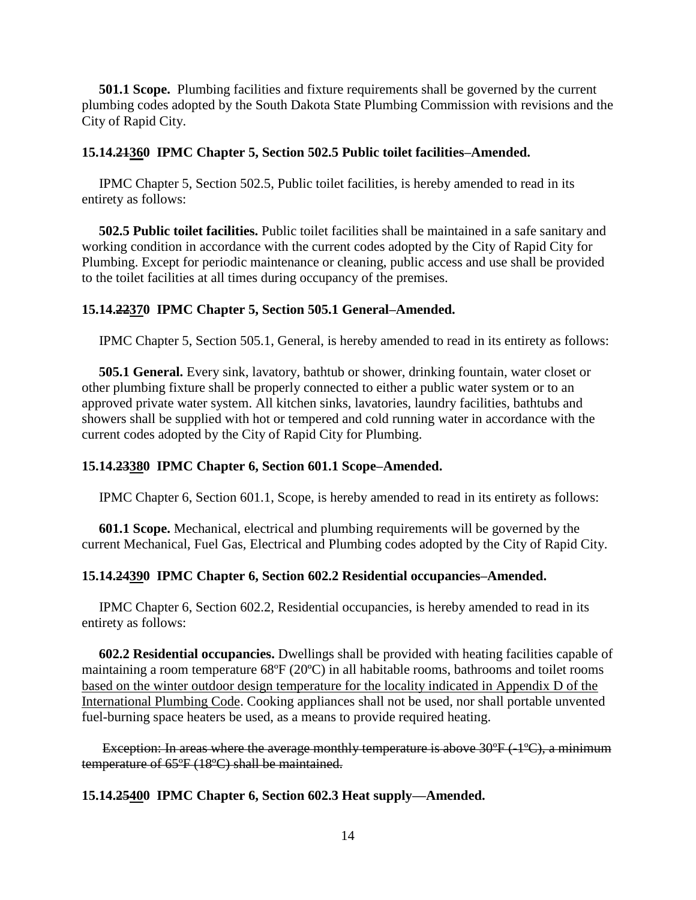**501.1 Scope.** Plumbing facilities and fixture requirements shall be governed by the current plumbing codes adopted by the South Dakota State Plumbing Commission with revisions and the City of Rapid City.

#### **15.14.21360 IPMC Chapter 5, Section 502.5 Public toilet facilities–Amended.**

 IPMC Chapter 5, Section 502.5, Public toilet facilities, is hereby amended to read in its entirety as follows:

 **502.5 Public toilet facilities.** Public toilet facilities shall be maintained in a safe sanitary and working condition in accordance with the current codes adopted by the City of Rapid City for Plumbing. Except for periodic maintenance or cleaning, public access and use shall be provided to the toilet facilities at all times during occupancy of the premises.

#### **15.14.22370 IPMC Chapter 5, Section 505.1 General–Amended.**

IPMC Chapter 5, Section 505.1, General, is hereby amended to read in its entirety as follows:

 **505.1 General.** Every sink, lavatory, bathtub or shower, drinking fountain, water closet or other plumbing fixture shall be properly connected to either a public water system or to an approved private water system. All kitchen sinks, lavatories, laundry facilities, bathtubs and showers shall be supplied with hot or tempered and cold running water in accordance with the current codes adopted by the City of Rapid City for Plumbing.

#### **15.14.23380 IPMC Chapter 6, Section 601.1 Scope–Amended.**

IPMC Chapter 6, Section 601.1, Scope, is hereby amended to read in its entirety as follows:

 **601.1 Scope.** Mechanical, electrical and plumbing requirements will be governed by the current Mechanical, Fuel Gas, Electrical and Plumbing codes adopted by the City of Rapid City.

#### **15.14.24390 IPMC Chapter 6, Section 602.2 Residential occupancies–Amended.**

 IPMC Chapter 6, Section 602.2, Residential occupancies, is hereby amended to read in its entirety as follows:

 **602.2 Residential occupancies.** Dwellings shall be provided with heating facilities capable of maintaining a room temperature 68ºF (20ºC) in all habitable rooms, bathrooms and toilet rooms based on the winter outdoor design temperature for the locality indicated in Appendix D of the International Plumbing Code. Cooking appliances shall not be used, nor shall portable unvented fuel-burning space heaters be used, as a means to provide required heating.

Exception: In areas where the average monthly temperature is above 30°F (-1°C), a minimum temperature of 65ºF (18ºC) shall be maintained.

#### **15.14.25400 IPMC Chapter 6, Section 602.3 Heat supply—Amended.**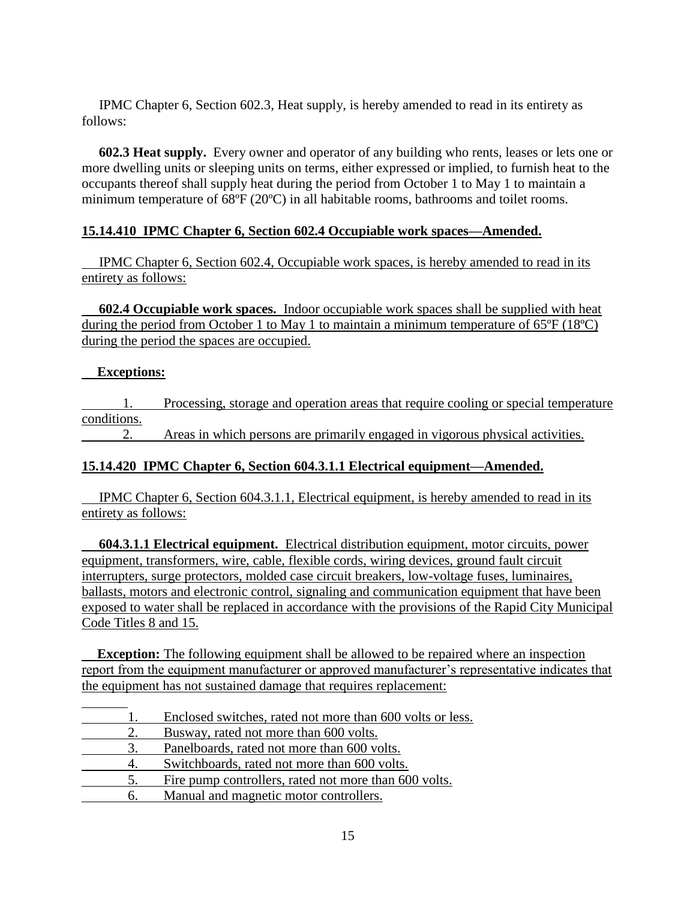IPMC Chapter 6, Section 602.3, Heat supply, is hereby amended to read in its entirety as follows:

 **602.3 Heat supply.** Every owner and operator of any building who rents, leases or lets one or more dwelling units or sleeping units on terms, either expressed or implied, to furnish heat to the occupants thereof shall supply heat during the period from October 1 to May 1 to maintain a minimum temperature of 68ºF (20ºC) in all habitable rooms, bathrooms and toilet rooms.

### **15.14.410 IPMC Chapter 6, Section 602.4 Occupiable work spaces—Amended.**

 IPMC Chapter 6, Section 602.4, Occupiable work spaces, is hereby amended to read in its entirety as follows:

 **602.4 Occupiable work spaces.** Indoor occupiable work spaces shall be supplied with heat during the period from October 1 to May 1 to maintain a minimum temperature of 65ºF (18ºC) during the period the spaces are occupied.

### **Exceptions:**

1. Processing, storage and operation areas that require cooling or special temperature conditions.

2. Areas in which persons are primarily engaged in vigorous physical activities.

# **15.14.420 IPMC Chapter 6, Section 604.3.1.1 Electrical equipment—Amended.**

 IPMC Chapter 6, Section 604.3.1.1, Electrical equipment, is hereby amended to read in its entirety as follows:

 **604.3.1.1 Electrical equipment.** Electrical distribution equipment, motor circuits, power equipment, transformers, wire, cable, flexible cords, wiring devices, ground fault circuit interrupters, surge protectors, molded case circuit breakers, low-voltage fuses, luminaires, ballasts, motors and electronic control, signaling and communication equipment that have been exposed to water shall be replaced in accordance with the provisions of the Rapid City Municipal Code Titles 8 and 15.

**Exception:** The following equipment shall be allowed to be repaired where an inspection report from the equipment manufacturer or approved manufacturer's representative indicates that the equipment has not sustained damage that requires replacement:

|    | Enclosed switches, rated not more than 600 volts or less. |
|----|-----------------------------------------------------------|
|    | Busway, rated not more than 600 volts.                    |
| 3. | Panelboards, rated not more than 600 volts.               |
|    | Switchboards, rated not more than 600 volts.              |
| 5. | Fire pump controllers, rated not more than 600 volts.     |
| h. | Manual and magnetic motor controllers.                    |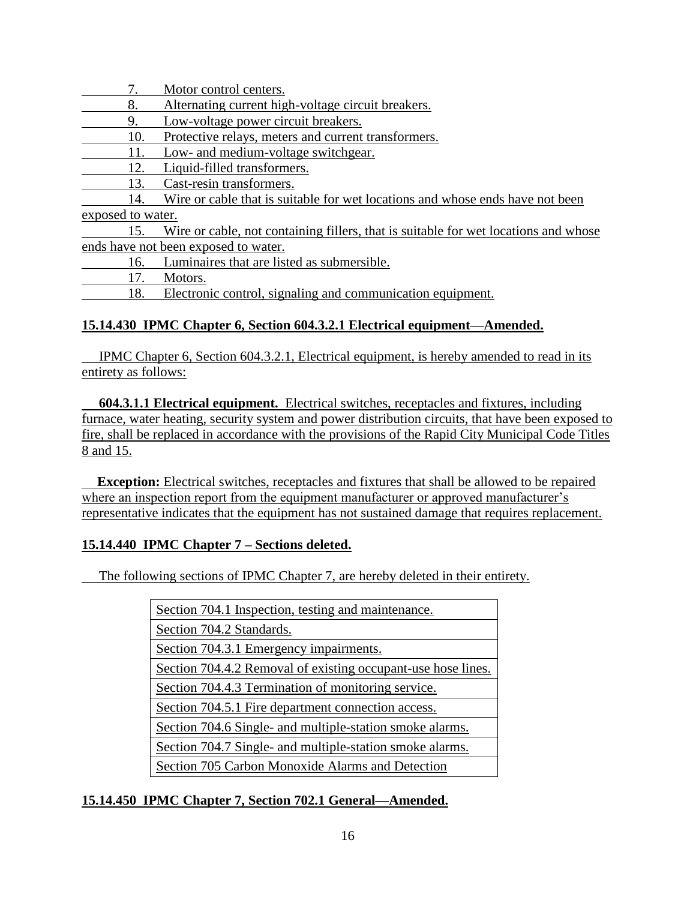7. Motor control centers.

8. Alternating current high-voltage circuit breakers.

- 9. Low-voltage power circuit breakers.
- 10. Protective relays, meters and current transformers.
- 11. Low- and medium-voltage switchgear.
- 12. Liquid-filled transformers.

13. Cast-resin transformers.

14. Wire or cable that is suitable for wet locations and whose ends have not been exposed to water.

15. Wire or cable, not containing fillers, that is suitable for wet locations and whose ends have not been exposed to water.

16. Luminaires that are listed as submersible.

17. Motors.

18. Electronic control, signaling and communication equipment.

### **15.14.430 IPMC Chapter 6, Section 604.3.2.1 Electrical equipment—Amended.**

 IPMC Chapter 6, Section 604.3.2.1, Electrical equipment, is hereby amended to read in its entirety as follows:

 **604.3.1.1 Electrical equipment.** Electrical switches, receptacles and fixtures, including furnace, water heating, security system and power distribution circuits, that have been exposed to fire, shall be replaced in accordance with the provisions of the Rapid City Municipal Code Titles 8 and 15.

**Exception:** Electrical switches, receptacles and fixtures that shall be allowed to be repaired where an inspection report from the equipment manufacturer or approved manufacturer's representative indicates that the equipment has not sustained damage that requires replacement.

### **15.14.440 IPMC Chapter 7 – Sections deleted.**

The following sections of IPMC Chapter 7, are hereby deleted in their entirety.

| Section 704.1 Inspection, testing and maintenance.           |
|--------------------------------------------------------------|
| Section 704.2 Standards.                                     |
| Section 704.3.1 Emergency impairments.                       |
| Section 704.4.2 Removal of existing occupant-use hose lines. |
| Section 704.4.3 Termination of monitoring service.           |
| Section 704.5.1 Fire department connection access.           |
| Section 704.6 Single- and multiple-station smoke alarms.     |
| Section 704.7 Single- and multiple-station smoke alarms.     |
| Section 705 Carbon Monoxide Alarms and Detection             |
|                                                              |

### **15.14.450 IPMC Chapter 7, Section 702.1 General—Amended.**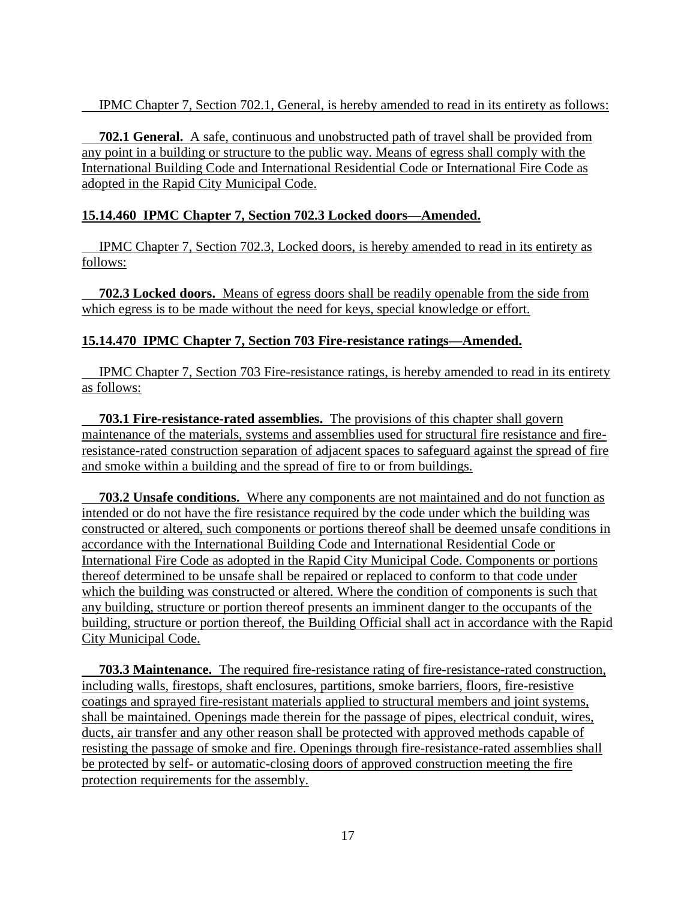IPMC Chapter 7, Section 702.1, General, is hereby amended to read in its entirety as follows:

 **702.1 General.** A safe, continuous and unobstructed path of travel shall be provided from any point in a building or structure to the public way. Means of egress shall comply with the International Building Code and International Residential Code or International Fire Code as adopted in the Rapid City Municipal Code.

### **15.14.460 IPMC Chapter 7, Section 702.3 Locked doors—Amended.**

 IPMC Chapter 7, Section 702.3, Locked doors, is hereby amended to read in its entirety as follows:

 **702.3 Locked doors.** Means of egress doors shall be readily openable from the side from which egress is to be made without the need for keys, special knowledge or effort.

## **15.14.470 IPMC Chapter 7, Section 703 Fire-resistance ratings—Amended.**

 IPMC Chapter 7, Section 703 Fire-resistance ratings, is hereby amended to read in its entirety as follows:

 **703.1 Fire-resistance-rated assemblies.** The provisions of this chapter shall govern maintenance of the materials, systems and assemblies used for structural fire resistance and fireresistance-rated construction separation of adjacent spaces to safeguard against the spread of fire and smoke within a building and the spread of fire to or from buildings.

 **703.2 Unsafe conditions.** Where any components are not maintained and do not function as intended or do not have the fire resistance required by the code under which the building was constructed or altered, such components or portions thereof shall be deemed unsafe conditions in accordance with the International Building Code and International Residential Code or International Fire Code as adopted in the Rapid City Municipal Code. Components or portions thereof determined to be unsafe shall be repaired or replaced to conform to that code under which the building was constructed or altered. Where the condition of components is such that any building, structure or portion thereof presents an imminent danger to the occupants of the building, structure or portion thereof, the Building Official shall act in accordance with the Rapid City Municipal Code.

 **703.3 Maintenance.** The required fire-resistance rating of fire-resistance-rated construction, including walls, firestops, shaft enclosures, partitions, smoke barriers, floors, fire-resistive coatings and sprayed fire-resistant materials applied to structural members and joint systems, shall be maintained. Openings made therein for the passage of pipes, electrical conduit, wires, ducts, air transfer and any other reason shall be protected with approved methods capable of resisting the passage of smoke and fire. Openings through fire-resistance-rated assemblies shall be protected by self- or automatic-closing doors of approved construction meeting the fire protection requirements for the assembly.